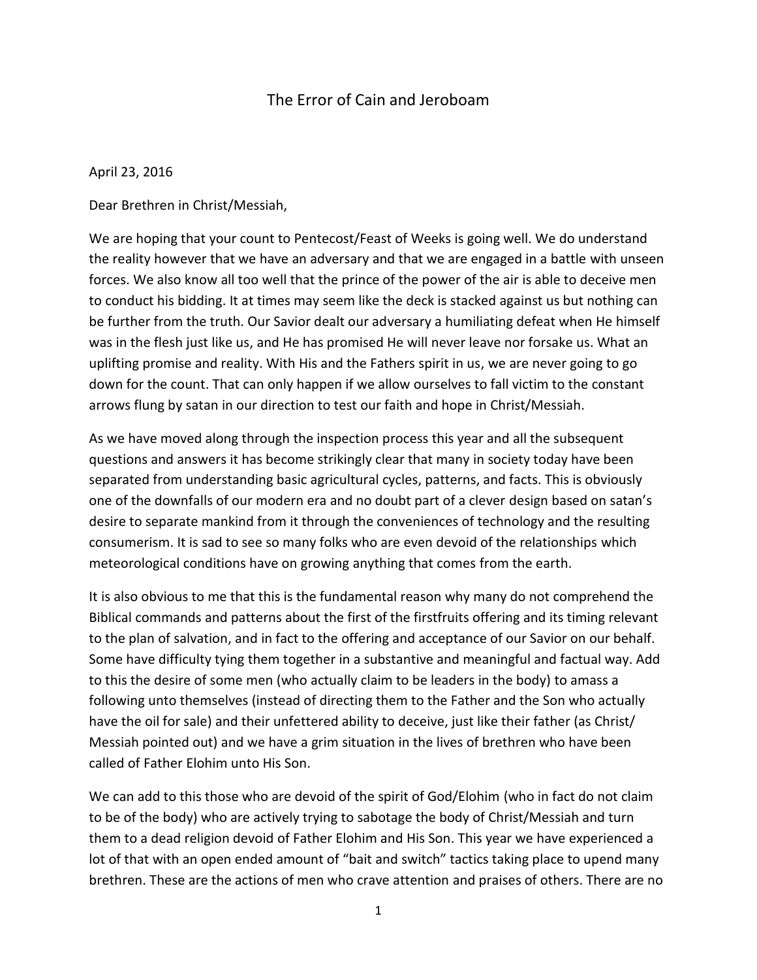## The Error of Cain and Jeroboam

April 23, 2016

Dear Brethren in Christ/Messiah,

We are hoping that your count to Pentecost/Feast of Weeks is going well. We do understand the reality however that we have an adversary and that we are engaged in a battle with unseen forces. We also know all too well that the prince of the power of the air is able to deceive men to conduct his bidding. It at times may seem like the deck is stacked against us but nothing can be further from the truth. Our Savior dealt our adversary a humiliating defeat when He himself was in the flesh just like us, and He has promised He will never leave nor forsake us. What an uplifting promise and reality. With His and the Fathers spirit in us, we are never going to go down for the count. That can only happen if we allow ourselves to fall victim to the constant arrows flung by satan in our direction to test our faith and hope in Christ/Messiah.

As we have moved along through the inspection process this year and all the subsequent questions and answers it has become strikingly clear that many in society today have been separated from understanding basic agricultural cycles, patterns, and facts. This is obviously one of the downfalls of our modern era and no doubt part of a clever design based on satan's desire to separate mankind from it through the conveniences of technology and the resulting consumerism. It is sad to see so many folks who are even devoid of the relationships which meteorological conditions have on growing anything that comes from the earth.

It is also obvious to me that this is the fundamental reason why many do not comprehend the Biblical commands and patterns about the first of the firstfruits offering and its timing relevant to the plan of salvation, and in fact to the offering and acceptance of our Savior on our behalf. Some have difficulty tying them together in a substantive and meaningful and factual way. Add to this the desire of some men (who actually claim to be leaders in the body) to amass a following unto themselves (instead of directing them to the Father and the Son who actually have the oil for sale) and their unfettered ability to deceive, just like their father (as Christ/ Messiah pointed out) and we have a grim situation in the lives of brethren who have been called of Father Elohim unto His Son.

We can add to this those who are devoid of the spirit of God/Elohim (who in fact do not claim to be of the body) who are actively trying to sabotage the body of Christ/Messiah and turn them to a dead religion devoid of Father Elohim and His Son. This year we have experienced a lot of that with an open ended amount of "bait and switch" tactics taking place to upend many brethren. These are the actions of men who crave attention and praises of others. There are no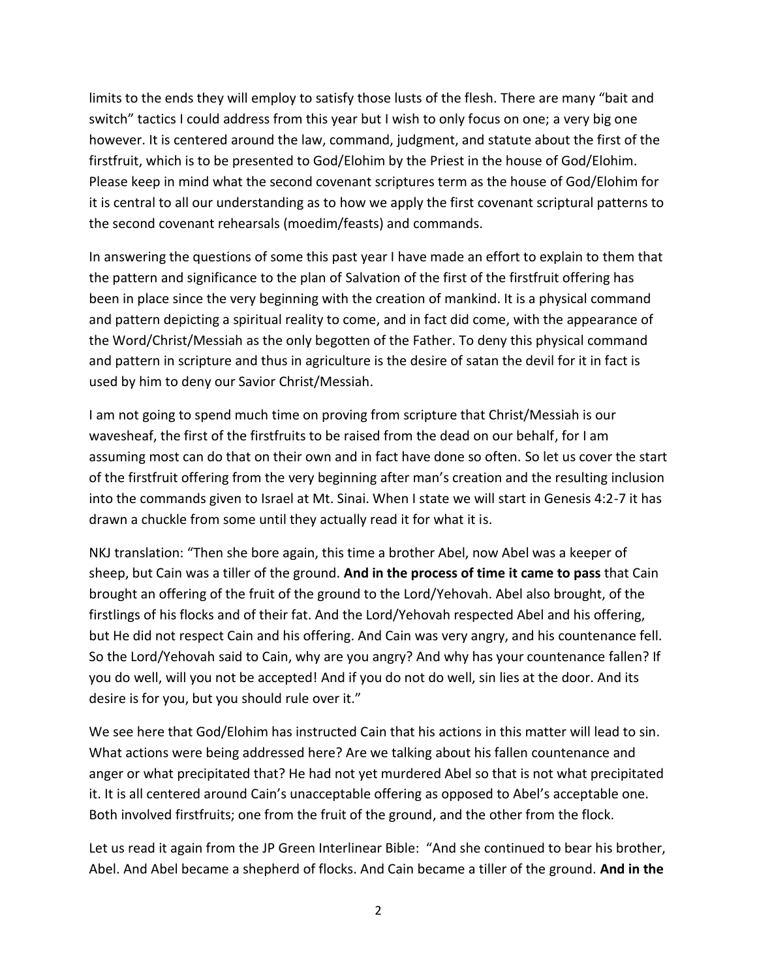limits to the ends they will employ to satisfy those lusts of the flesh. There are many "bait and switch" tactics I could address from this year but I wish to only focus on one; a very big one however. It is centered around the law, command, judgment, and statute about the first of the firstfruit, which is to be presented to God/Elohim by the Priest in the house of God/Elohim. Please keep in mind what the second covenant scriptures term as the house of God/Elohim for it is central to all our understanding as to how we apply the first covenant scriptural patterns to the second covenant rehearsals (moedim/feasts) and commands.

In answering the questions of some this past year I have made an effort to explain to them that the pattern and significance to the plan of Salvation of the first of the firstfruit offering has been in place since the very beginning with the creation of mankind. It is a physical command and pattern depicting a spiritual reality to come, and in fact did come, with the appearance of the Word/Christ/Messiah as the only begotten of the Father. To deny this physical command and pattern in scripture and thus in agriculture is the desire of satan the devil for it in fact is used by him to deny our Savior Christ/Messiah.

I am not going to spend much time on proving from scripture that Christ/Messiah is our wavesheaf, the first of the firstfruits to be raised from the dead on our behalf, for I am assuming most can do that on their own and in fact have done so often. So let us cover the start of the firstfruit offering from the very beginning after man's creation and the resulting inclusion into the commands given to Israel at Mt. Sinai. When I state we will start in Genesis 4:2-7 it has drawn a chuckle from some until they actually read it for what it is.

NKJ translation: "Then she bore again, this time a brother Abel, now Abel was a keeper of sheep, but Cain was a tiller of the ground. **And in the process of time it came to pass** that Cain brought an offering of the fruit of the ground to the Lord/Yehovah. Abel also brought, of the firstlings of his flocks and of their fat. And the Lord/Yehovah respected Abel and his offering, but He did not respect Cain and his offering. And Cain was very angry, and his countenance fell. So the Lord/Yehovah said to Cain, why are you angry? And why has your countenance fallen? If you do well, will you not be accepted! And if you do not do well, sin lies at the door. And its desire is for you, but you should rule over it."

We see here that God/Elohim has instructed Cain that his actions in this matter will lead to sin. What actions were being addressed here? Are we talking about his fallen countenance and anger or what precipitated that? He had not yet murdered Abel so that is not what precipitated it. It is all centered around Cain's unacceptable offering as opposed to Abel's acceptable one. Both involved firstfruits; one from the fruit of the ground, and the other from the flock.

Let us read it again from the JP Green Interlinear Bible: "And she continued to bear his brother, Abel. And Abel became a shepherd of flocks. And Cain became a tiller of the ground. **And in the**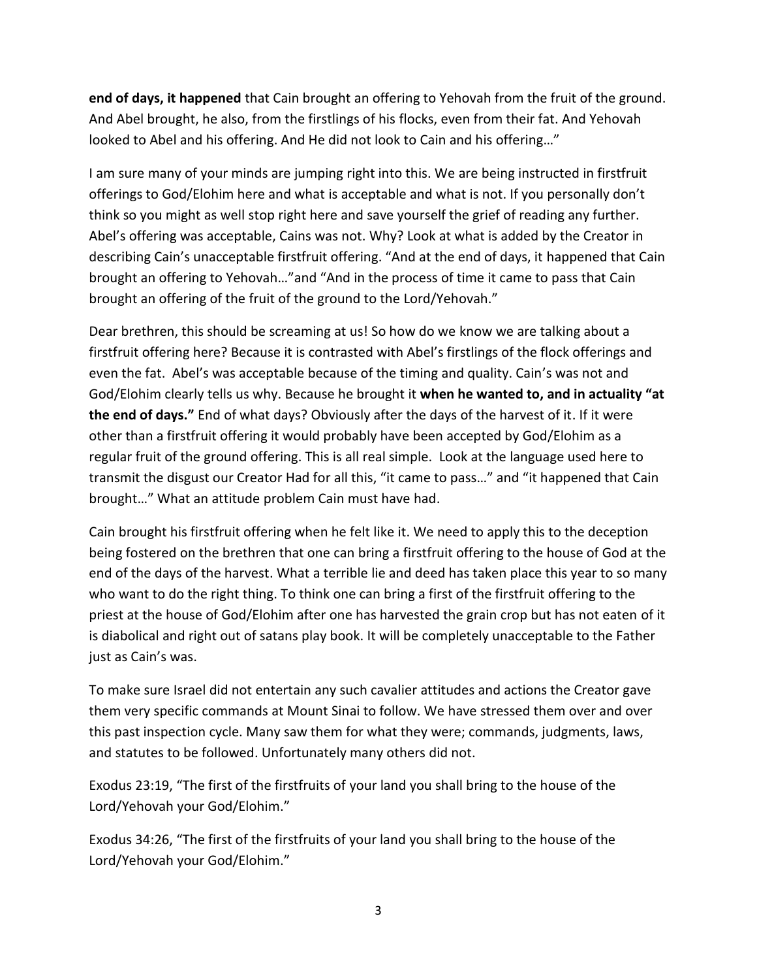**end of days, it happened** that Cain brought an offering to Yehovah from the fruit of the ground. And Abel brought, he also, from the firstlings of his flocks, even from their fat. And Yehovah looked to Abel and his offering. And He did not look to Cain and his offering…"

I am sure many of your minds are jumping right into this. We are being instructed in firstfruit offerings to God/Elohim here and what is acceptable and what is not. If you personally don't think so you might as well stop right here and save yourself the grief of reading any further. Abel's offering was acceptable, Cains was not. Why? Look at what is added by the Creator in describing Cain's unacceptable firstfruit offering. "And at the end of days, it happened that Cain brought an offering to Yehovah…"and "And in the process of time it came to pass that Cain brought an offering of the fruit of the ground to the Lord/Yehovah."

Dear brethren, this should be screaming at us! So how do we know we are talking about a firstfruit offering here? Because it is contrasted with Abel's firstlings of the flock offerings and even the fat. Abel's was acceptable because of the timing and quality. Cain's was not and God/Elohim clearly tells us why. Because he brought it **when he wanted to, and in actuality "at the end of days."** End of what days? Obviously after the days of the harvest of it. If it were other than a firstfruit offering it would probably have been accepted by God/Elohim as a regular fruit of the ground offering. This is all real simple. Look at the language used here to transmit the disgust our Creator Had for all this, "it came to pass…" and "it happened that Cain brought…" What an attitude problem Cain must have had.

Cain brought his firstfruit offering when he felt like it. We need to apply this to the deception being fostered on the brethren that one can bring a firstfruit offering to the house of God at the end of the days of the harvest. What a terrible lie and deed has taken place this year to so many who want to do the right thing. To think one can bring a first of the firstfruit offering to the priest at the house of God/Elohim after one has harvested the grain crop but has not eaten of it is diabolical and right out of satans play book. It will be completely unacceptable to the Father just as Cain's was.

To make sure Israel did not entertain any such cavalier attitudes and actions the Creator gave them very specific commands at Mount Sinai to follow. We have stressed them over and over this past inspection cycle. Many saw them for what they were; commands, judgments, laws, and statutes to be followed. Unfortunately many others did not.

Exodus 23:19, "The first of the firstfruits of your land you shall bring to the house of the Lord/Yehovah your God/Elohim."

Exodus 34:26, "The first of the firstfruits of your land you shall bring to the house of the Lord/Yehovah your God/Elohim."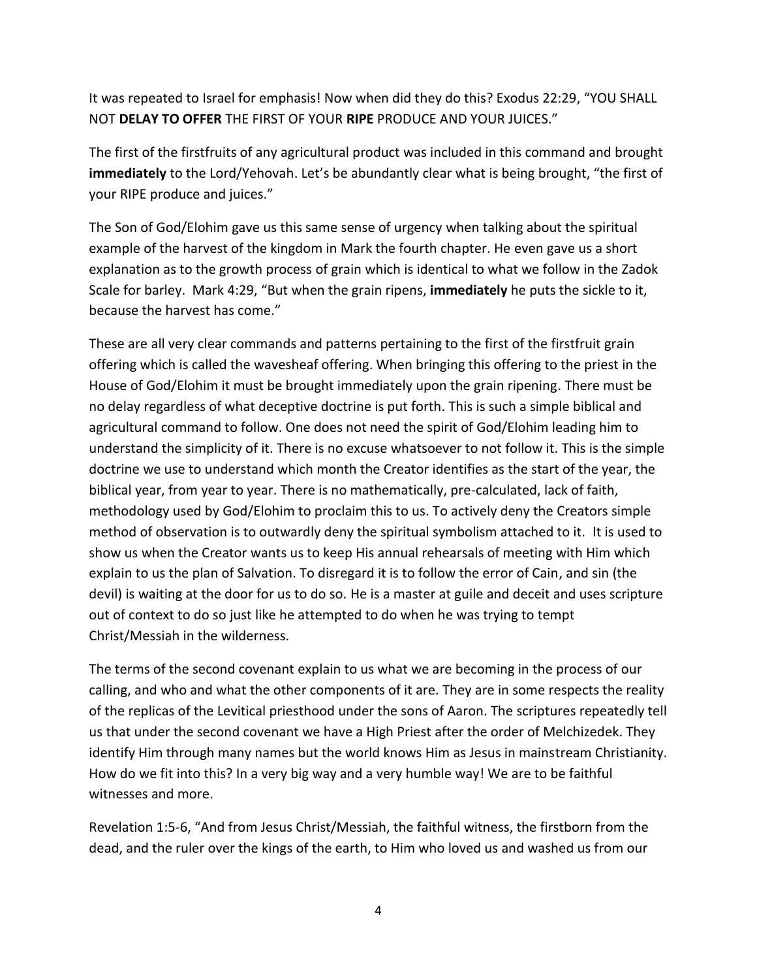It was repeated to Israel for emphasis! Now when did they do this? Exodus 22:29, "YOU SHALL NOT **DELAY TO OFFER** THE FIRST OF YOUR **RIPE** PRODUCE AND YOUR JUICES."

The first of the firstfruits of any agricultural product was included in this command and brought **immediately** to the Lord/Yehovah. Let's be abundantly clear what is being brought, "the first of your RIPE produce and juices."

The Son of God/Elohim gave us this same sense of urgency when talking about the spiritual example of the harvest of the kingdom in Mark the fourth chapter. He even gave us a short explanation as to the growth process of grain which is identical to what we follow in the Zadok Scale for barley. Mark 4:29, "But when the grain ripens, **immediately** he puts the sickle to it, because the harvest has come."

These are all very clear commands and patterns pertaining to the first of the firstfruit grain offering which is called the wavesheaf offering. When bringing this offering to the priest in the House of God/Elohim it must be brought immediately upon the grain ripening. There must be no delay regardless of what deceptive doctrine is put forth. This is such a simple biblical and agricultural command to follow. One does not need the spirit of God/Elohim leading him to understand the simplicity of it. There is no excuse whatsoever to not follow it. This is the simple doctrine we use to understand which month the Creator identifies as the start of the year, the biblical year, from year to year. There is no mathematically, pre-calculated, lack of faith, methodology used by God/Elohim to proclaim this to us. To actively deny the Creators simple method of observation is to outwardly deny the spiritual symbolism attached to it. It is used to show us when the Creator wants us to keep His annual rehearsals of meeting with Him which explain to us the plan of Salvation. To disregard it is to follow the error of Cain, and sin (the devil) is waiting at the door for us to do so. He is a master at guile and deceit and uses scripture out of context to do so just like he attempted to do when he was trying to tempt Christ/Messiah in the wilderness.

The terms of the second covenant explain to us what we are becoming in the process of our calling, and who and what the other components of it are. They are in some respects the reality of the replicas of the Levitical priesthood under the sons of Aaron. The scriptures repeatedly tell us that under the second covenant we have a High Priest after the order of Melchizedek. They identify Him through many names but the world knows Him as Jesus in mainstream Christianity. How do we fit into this? In a very big way and a very humble way! We are to be faithful witnesses and more.

Revelation 1:5-6, "And from Jesus Christ/Messiah, the faithful witness, the firstborn from the dead, and the ruler over the kings of the earth, to Him who loved us and washed us from our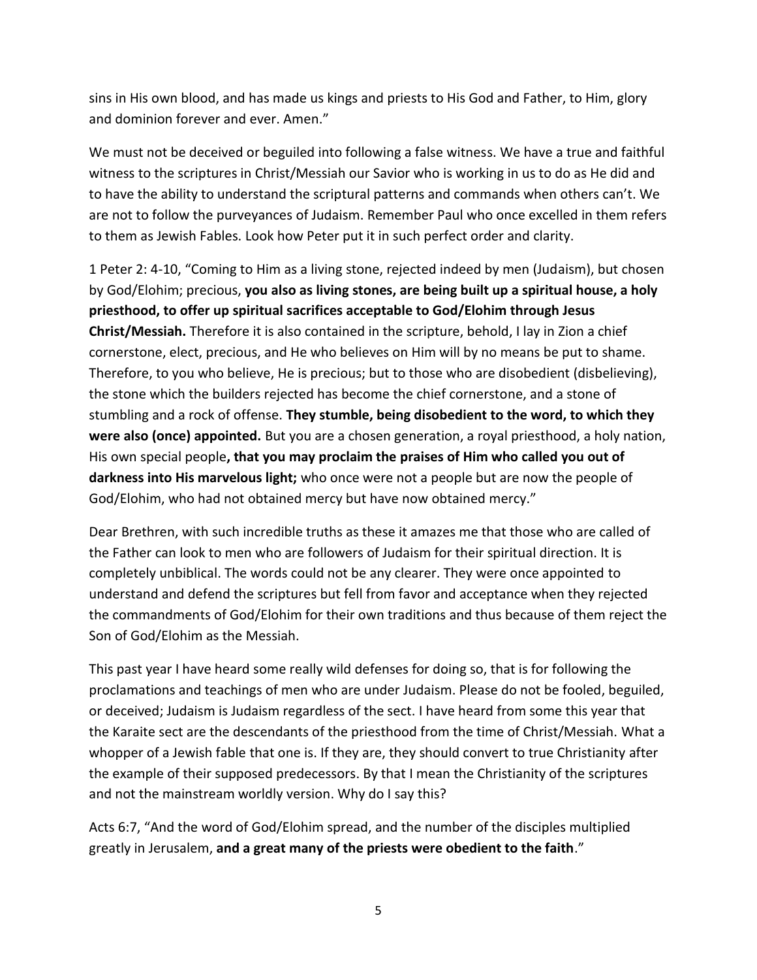sins in His own blood, and has made us kings and priests to His God and Father, to Him, glory and dominion forever and ever. Amen."

We must not be deceived or beguiled into following a false witness. We have a true and faithful witness to the scriptures in Christ/Messiah our Savior who is working in us to do as He did and to have the ability to understand the scriptural patterns and commands when others can't. We are not to follow the purveyances of Judaism. Remember Paul who once excelled in them refers to them as Jewish Fables. Look how Peter put it in such perfect order and clarity.

1 Peter 2: 4-10, "Coming to Him as a living stone, rejected indeed by men (Judaism), but chosen by God/Elohim; precious, **you also as living stones, are being built up a spiritual house, a holy priesthood, to offer up spiritual sacrifices acceptable to God/Elohim through Jesus Christ/Messiah.** Therefore it is also contained in the scripture, behold, I lay in Zion a chief cornerstone, elect, precious, and He who believes on Him will by no means be put to shame. Therefore, to you who believe, He is precious; but to those who are disobedient (disbelieving), the stone which the builders rejected has become the chief cornerstone, and a stone of stumbling and a rock of offense. **They stumble, being disobedient to the word, to which they were also (once) appointed.** But you are a chosen generation, a royal priesthood, a holy nation, His own special people**, that you may proclaim the praises of Him who called you out of darkness into His marvelous light;** who once were not a people but are now the people of God/Elohim, who had not obtained mercy but have now obtained mercy."

Dear Brethren, with such incredible truths as these it amazes me that those who are called of the Father can look to men who are followers of Judaism for their spiritual direction. It is completely unbiblical. The words could not be any clearer. They were once appointed to understand and defend the scriptures but fell from favor and acceptance when they rejected the commandments of God/Elohim for their own traditions and thus because of them reject the Son of God/Elohim as the Messiah.

This past year I have heard some really wild defenses for doing so, that is for following the proclamations and teachings of men who are under Judaism. Please do not be fooled, beguiled, or deceived; Judaism is Judaism regardless of the sect. I have heard from some this year that the Karaite sect are the descendants of the priesthood from the time of Christ/Messiah. What a whopper of a Jewish fable that one is. If they are, they should convert to true Christianity after the example of their supposed predecessors. By that I mean the Christianity of the scriptures and not the mainstream worldly version. Why do I say this?

Acts 6:7, "And the word of God/Elohim spread, and the number of the disciples multiplied greatly in Jerusalem, **and a great many of the priests were obedient to the faith**."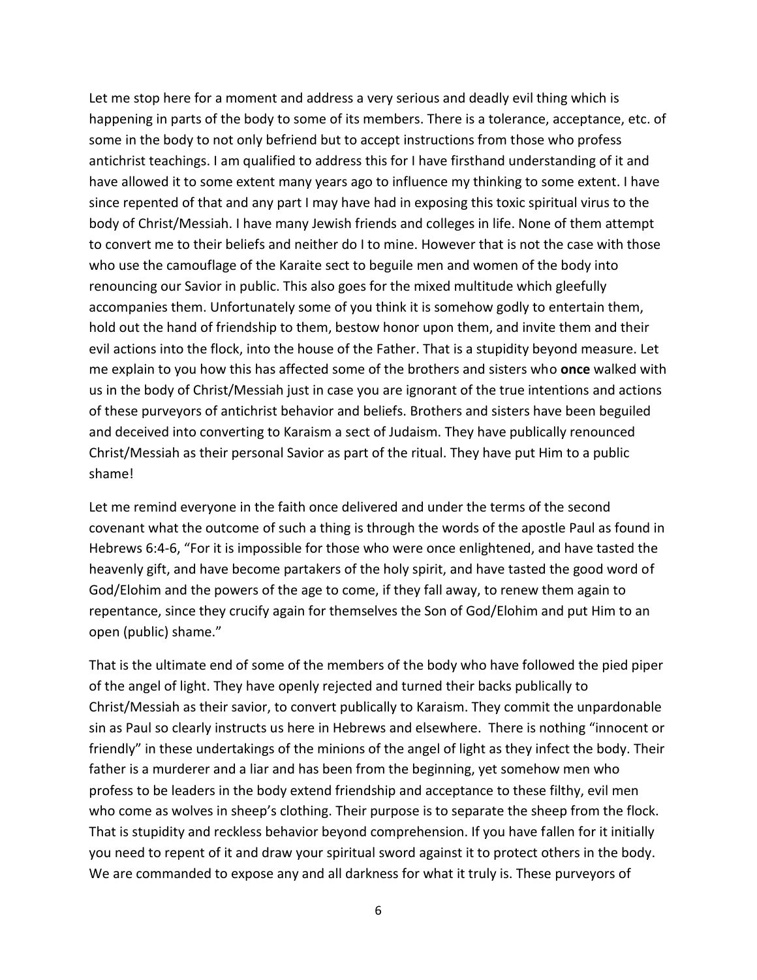Let me stop here for a moment and address a very serious and deadly evil thing which is happening in parts of the body to some of its members. There is a tolerance, acceptance, etc. of some in the body to not only befriend but to accept instructions from those who profess antichrist teachings. I am qualified to address this for I have firsthand understanding of it and have allowed it to some extent many years ago to influence my thinking to some extent. I have since repented of that and any part I may have had in exposing this toxic spiritual virus to the body of Christ/Messiah. I have many Jewish friends and colleges in life. None of them attempt to convert me to their beliefs and neither do I to mine. However that is not the case with those who use the camouflage of the Karaite sect to beguile men and women of the body into renouncing our Savior in public. This also goes for the mixed multitude which gleefully accompanies them. Unfortunately some of you think it is somehow godly to entertain them, hold out the hand of friendship to them, bestow honor upon them, and invite them and their evil actions into the flock, into the house of the Father. That is a stupidity beyond measure. Let me explain to you how this has affected some of the brothers and sisters who **once** walked with us in the body of Christ/Messiah just in case you are ignorant of the true intentions and actions of these purveyors of antichrist behavior and beliefs. Brothers and sisters have been beguiled and deceived into converting to Karaism a sect of Judaism. They have publically renounced Christ/Messiah as their personal Savior as part of the ritual. They have put Him to a public shame!

Let me remind everyone in the faith once delivered and under the terms of the second covenant what the outcome of such a thing is through the words of the apostle Paul as found in Hebrews 6:4-6, "For it is impossible for those who were once enlightened, and have tasted the heavenly gift, and have become partakers of the holy spirit, and have tasted the good word of God/Elohim and the powers of the age to come, if they fall away, to renew them again to repentance, since they crucify again for themselves the Son of God/Elohim and put Him to an open (public) shame."

That is the ultimate end of some of the members of the body who have followed the pied piper of the angel of light. They have openly rejected and turned their backs publically to Christ/Messiah as their savior, to convert publically to Karaism. They commit the unpardonable sin as Paul so clearly instructs us here in Hebrews and elsewhere. There is nothing "innocent or friendly" in these undertakings of the minions of the angel of light as they infect the body. Their father is a murderer and a liar and has been from the beginning, yet somehow men who profess to be leaders in the body extend friendship and acceptance to these filthy, evil men who come as wolves in sheep's clothing. Their purpose is to separate the sheep from the flock. That is stupidity and reckless behavior beyond comprehension. If you have fallen for it initially you need to repent of it and draw your spiritual sword against it to protect others in the body. We are commanded to expose any and all darkness for what it truly is. These purveyors of

6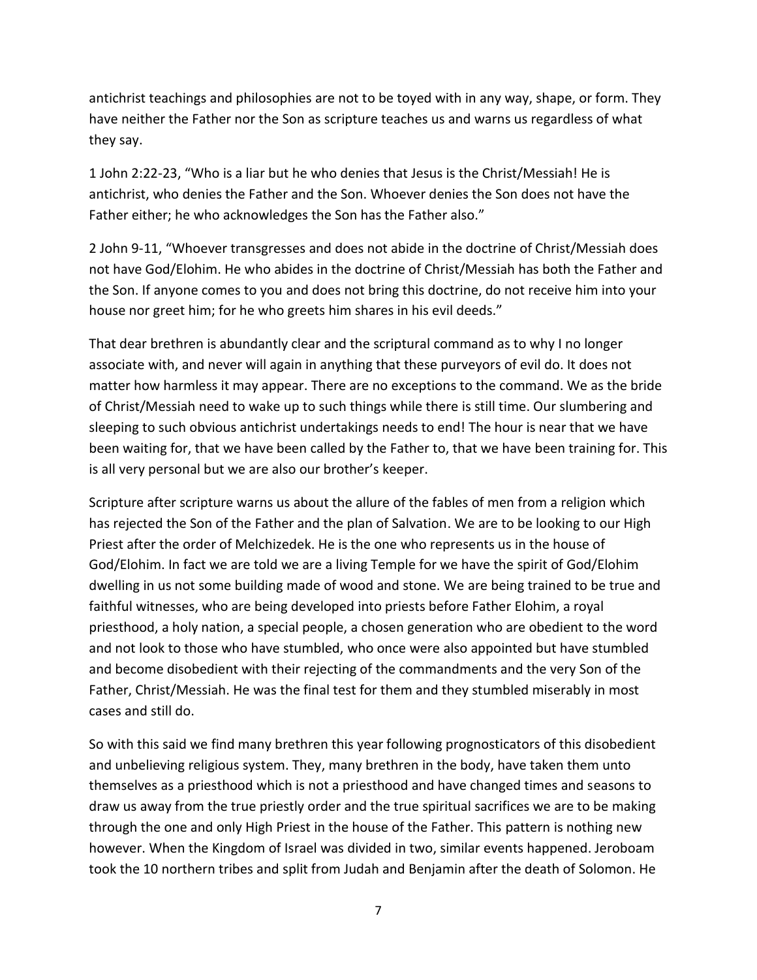antichrist teachings and philosophies are not to be toyed with in any way, shape, or form. They have neither the Father nor the Son as scripture teaches us and warns us regardless of what they say.

1 John 2:22-23, "Who is a liar but he who denies that Jesus is the Christ/Messiah! He is antichrist, who denies the Father and the Son. Whoever denies the Son does not have the Father either; he who acknowledges the Son has the Father also."

2 John 9-11, "Whoever transgresses and does not abide in the doctrine of Christ/Messiah does not have God/Elohim. He who abides in the doctrine of Christ/Messiah has both the Father and the Son. If anyone comes to you and does not bring this doctrine, do not receive him into your house nor greet him; for he who greets him shares in his evil deeds."

That dear brethren is abundantly clear and the scriptural command as to why I no longer associate with, and never will again in anything that these purveyors of evil do. It does not matter how harmless it may appear. There are no exceptions to the command. We as the bride of Christ/Messiah need to wake up to such things while there is still time. Our slumbering and sleeping to such obvious antichrist undertakings needs to end! The hour is near that we have been waiting for, that we have been called by the Father to, that we have been training for. This is all very personal but we are also our brother's keeper.

Scripture after scripture warns us about the allure of the fables of men from a religion which has rejected the Son of the Father and the plan of Salvation. We are to be looking to our High Priest after the order of Melchizedek. He is the one who represents us in the house of God/Elohim. In fact we are told we are a living Temple for we have the spirit of God/Elohim dwelling in us not some building made of wood and stone. We are being trained to be true and faithful witnesses, who are being developed into priests before Father Elohim, a royal priesthood, a holy nation, a special people, a chosen generation who are obedient to the word and not look to those who have stumbled, who once were also appointed but have stumbled and become disobedient with their rejecting of the commandments and the very Son of the Father, Christ/Messiah. He was the final test for them and they stumbled miserably in most cases and still do.

So with this said we find many brethren this year following prognosticators of this disobedient and unbelieving religious system. They, many brethren in the body, have taken them unto themselves as a priesthood which is not a priesthood and have changed times and seasons to draw us away from the true priestly order and the true spiritual sacrifices we are to be making through the one and only High Priest in the house of the Father. This pattern is nothing new however. When the Kingdom of Israel was divided in two, similar events happened. Jeroboam took the 10 northern tribes and split from Judah and Benjamin after the death of Solomon. He